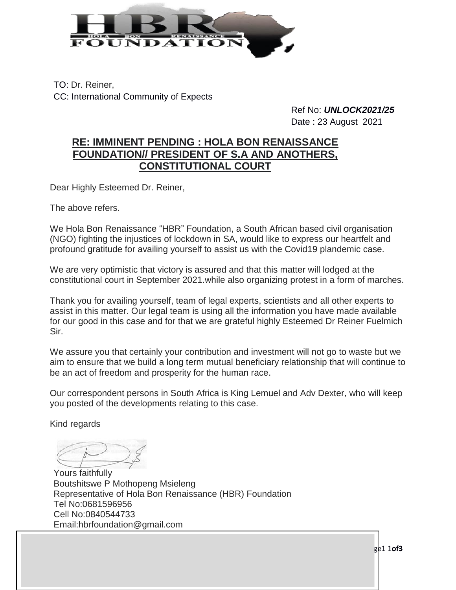

TO: Dr. Reiner, CC: International Community of Expects

> Ref No: *UNLOCK2021/25* Date : 23 August 2021

## **RE: IMMINENT PENDING : HOLA BON RENAISSANCE FOUNDATION// PRESIDENT OF S.A AND ANOTHERS, CONSTITUTIONAL COURT**

Dear Highly Esteemed Dr. Reiner,

The above refers.

We Hola Bon Renaissance "HBR" Foundation, a South African based civil organisation (NGO) fighting the injustices of lockdown in SA, would like to express our heartfelt and profound gratitude for availing yourself to assist us with the Covid19 plandemic case.

We are very optimistic that victory is assured and that this matter will lodged at the constitutional court in September 2021.while also organizing protest in a form of marches.

Thank you for availing yourself, team of legal experts, scientists and all other experts to assist in this matter. Our legal team is using all the information you have made available for our good in this case and for that we are grateful highly Esteemed Dr Reiner Fuelmich Sir.

We assure you that certainly your contribution and investment will not go to waste but we aim to ensure that we build a long term mutual beneficiary relationship that will continue to be an act of freedom and prosperity for the human race.

Our correspondent persons in South Africa is King Lemuel and Adv Dexter, who will keep you posted of the developments relating to this case.

Kind regards

Yours faithfully Boutshitswe P Mothopeng Msieleng Representative of Hola Bon Renaissance (HBR) Foundation Tel No:0681596956 Cell No:0840544733 [Email:hbrfoundation@gmail.com](mailto:hbrfoundation@gmail.com)